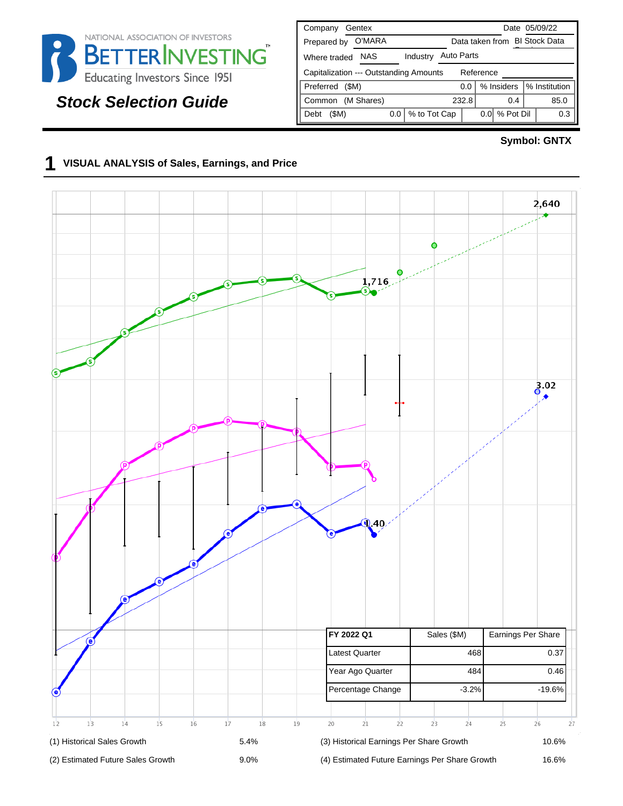

# **Stock Selection Guide**

| Gentex<br>Company                                   | Date 05/09/22                      |  |  |  |  |  |  |  |  |  |  |  |  |
|-----------------------------------------------------|------------------------------------|--|--|--|--|--|--|--|--|--|--|--|--|
| O'MARA<br>Prepared by                               | Data taken from BI Stock Data      |  |  |  |  |  |  |  |  |  |  |  |  |
| <b>NAS</b><br>Industry<br>Where traded              | <b>Auto Parts</b>                  |  |  |  |  |  |  |  |  |  |  |  |  |
| Capitalization --- Outstanding Amounts<br>Reference |                                    |  |  |  |  |  |  |  |  |  |  |  |  |
| Preferred<br>(SM)                                   | % Institution<br>% Insiders<br>0.0 |  |  |  |  |  |  |  |  |  |  |  |  |
| (M Shares)<br>Common                                | 232.8<br>85.0<br>0.4               |  |  |  |  |  |  |  |  |  |  |  |  |
| % to Tot Cap<br>(\$M)<br>0.0<br>Debt                | % Pot Dil<br>0.3<br>0.01           |  |  |  |  |  |  |  |  |  |  |  |  |

#### **Symbol: GNTX**

# **1 VISUAL ANALYSIS of Sales, Earnings, and Price**

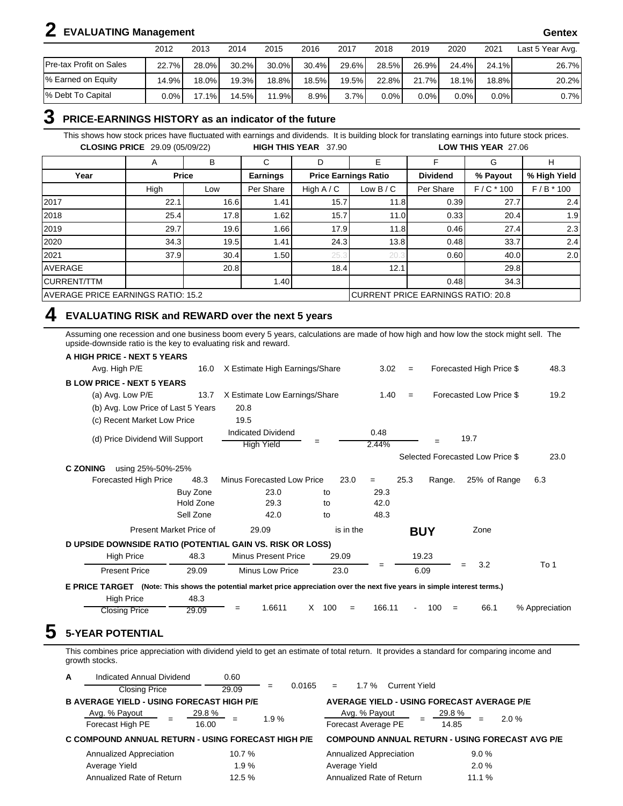# **2 EVALUATING Management Gentex**

|                         | 2012    | 2013  | 2014     | 2015     | 2016     | 2017  | 2018    | 2019  | 2020     | 2021     | Last 5 Year Avg. |
|-------------------------|---------|-------|----------|----------|----------|-------|---------|-------|----------|----------|------------------|
| Pre-tax Profit on Sales | 22.7%   | 28.0% | $30.2\%$ | $30.0\%$ | $30.4\%$ | 29.6% | 28.5%   | 26.9% | 24.4%    | 24.1%    | 26.7%            |
| % Earned on Equity      | 14.9%   | 18.0% | 19.3%I   | 18.8%)   | $18.5\%$ | 19.5% | 22.8%   | 21.7% | $18.1\%$ | $18.8\%$ | 20.2%            |
| % Debt To Capital       | $0.0\%$ | 17.1% | 14.5%    | 11.9%    | 8.9%     | 3.7%  | $0.0\%$ | 0.0%  | $0.0\%$  | 0.0%     | 0.7%             |

#### **3 PRICE-EARNINGS HISTORY as an indicator of the future**

This shows how stock prices have fluctuated with earnings and dividends. It is building block for translating earnings into future stock prices. **CLOSING PRICE** 29.09 (05/09/22) **HIGH THIS YEAR** 37.90 **LOW THIS YEAR** 27.06

|                                           | A    | в            | С                                  | D            | E                           | F               | G           | н            |  |
|-------------------------------------------|------|--------------|------------------------------------|--------------|-----------------------------|-----------------|-------------|--------------|--|
| Year                                      |      | <b>Price</b> | Earnings                           |              | <b>Price Earnings Ratio</b> | <b>Dividend</b> | % Payout    | % High Yield |  |
|                                           | High | Low          | Per Share                          | High $A / C$ | Low $B/C$                   | Per Share       | $F/C * 100$ | $F/B * 100$  |  |
| 2017                                      | 22.1 | 16.6         | 1.41                               | 15.7         | 11.8                        | 0.39            | 27.7        | 2.4          |  |
| 2018                                      | 25.4 | 17.8         | 1.62                               | 15.7         | 11.0                        | 0.33            | 20.4        | 1.9          |  |
| 2019                                      | 29.7 | 19.6         | .66                                | 17.9         | 11.8                        | 0.46            | 27.4        | 2.3          |  |
| 2020                                      | 34.3 | 19.5         | 1.41                               | 24.3         | 13.8                        | 0.48            | 33.7        | 2.4          |  |
| 2021                                      | 37.9 | 30.4         | 1.50                               | 25.3         | 20.3                        | 0.60            | 40.0        | 2.0          |  |
| AVERAGE                                   |      | 20.8         |                                    | 18.4         | 12.1                        |                 | 29.8        |              |  |
| <b>CURRENT/TTM</b>                        |      |              | 1.40                               |              |                             | 0.48            | 34.3        |              |  |
| <b>AVERAGE PRICE EARNINGS RATIO: 15.2</b> |      |              | CURRENT PRICE EARNINGS RATIO: 20.8 |              |                             |                 |             |              |  |

#### **4 EVALUATING RISK and REWARD over the next 5 years**

Assuming one recession and one business boom every 5 years, calculations are made of how high and how low the stock might sell. The upside-downside ratio is the key to evaluating risk and reward.

| A HIGH PRICE - NEXT 5 YEARS                                                                                                  |           |                                         |          |           |               |                          |            |                                  |                |
|------------------------------------------------------------------------------------------------------------------------------|-----------|-----------------------------------------|----------|-----------|---------------|--------------------------|------------|----------------------------------|----------------|
| Avg. High P/E                                                                                                                | 16.0      | X Estimate High Earnings/Share          |          |           | 3.02          | $=$                      |            | Forecasted High Price \$         | 48.3           |
| <b>BLOW PRICE - NEXT 5 YEARS</b>                                                                                             |           |                                         |          |           |               |                          |            |                                  |                |
| (a) Avg. Low P/E                                                                                                             | 13.7      | X Estimate Low Earnings/Share           |          |           | 1.40          | $=$                      |            | Forecasted Low Price \$          | 19.2           |
| (b) Avg. Low Price of Last 5 Years                                                                                           |           | 20.8                                    |          |           |               |                          |            |                                  |                |
| (c) Recent Market Low Price                                                                                                  |           | 19.5                                    |          |           |               |                          |            |                                  |                |
| (d) Price Dividend Will Support                                                                                              |           | Indicated Dividend<br><b>High Yield</b> | $=$      |           | 0.48<br>2.44% |                          |            | 19.7                             |                |
|                                                                                                                              |           |                                         |          |           |               |                          |            | Selected Forecasted Low Price \$ | 23.0           |
| <b>C ZONING</b><br>using 25%-50%-25%                                                                                         |           |                                         |          |           |               |                          |            |                                  |                |
| Forecasted High Price                                                                                                        | 48.3      | Minus Forecasted Low Price              |          | 23.0      | $=$           | 25.3                     | Range.     | 25% of Range                     | 6.3            |
|                                                                                                                              | Buy Zone  | 23.0                                    | to       |           | 29.3          |                          |            |                                  |                |
|                                                                                                                              | Hold Zone | 29.3                                    | to       |           | 42.0          |                          |            |                                  |                |
|                                                                                                                              | Sell Zone | 42.0                                    | to       |           | 48.3          |                          |            |                                  |                |
| Present Market Price of                                                                                                      |           | 29.09                                   |          | is in the |               |                          | <b>BUY</b> | Zone                             |                |
| D UPSIDE DOWNSIDE RATIO (POTENTIAL GAIN VS. RISK OR LOSS)                                                                    |           |                                         |          |           |               |                          |            |                                  |                |
| <b>High Price</b>                                                                                                            | 48.3      | <b>Minus Present Price</b>              |          | 29.09     |               |                          | 19.23      |                                  |                |
| <b>Present Price</b>                                                                                                         | 29.09     | <b>Minus Low Price</b>                  |          | 23.0      | =             |                          | 6.09       | 3.2<br>$=$                       | To 1           |
| E PRICE TARGET (Note: This shows the potential market price appreciation over the next five years in simple interest terms.) |           |                                         |          |           |               |                          |            |                                  |                |
| <b>High Price</b>                                                                                                            | 48.3      |                                         |          |           |               |                          |            |                                  |                |
| <b>Closing Price</b>                                                                                                         | 29.09     | 1.6611<br>$=$                           | X<br>100 | $=$       | 166.11        | $\overline{\phantom{a}}$ | 100<br>$=$ | 66.1                             | % Appreciation |

This combines price appreciation with dividend yield to get an estimate of total return. It provides a standard for comparing income and growth stocks.

| A | Indicated Annual Dividend                          | 0.60            |               |                                                                |         |  |  |
|---|----------------------------------------------------|-----------------|---------------|----------------------------------------------------------------|---------|--|--|
|   | <b>Closing Price</b>                               | 29.09           | 0.0165<br>$=$ | <b>Current Yield</b><br>1.7%<br>$=$                            |         |  |  |
|   | <b>B AVERAGE YIELD - USING FORECAST HIGH P/E</b>   |                 |               | <b>AVERAGE YIELD - USING FORECAST AVERAGE P/E</b>              |         |  |  |
|   | Avg. % Payout<br>Forecast High PE                  | 29.8 %<br>16.00 | 1.9%          | Avg. % Payout<br>29.8 %<br>$=$<br>Forecast Average PE<br>14.85 | 2.0%    |  |  |
|   | C COMPOUND ANNUAL RETURN - USING FORECAST HIGH P/E |                 |               | <b>COMPOUND ANNUAL RETURN - USING FORECAST AVG P/E</b>         |         |  |  |
|   | Annualized Appreciation                            | 10.7 %          |               | Annualized Appreciation                                        | $9.0\%$ |  |  |
|   | Average Yield                                      | 1.9%            |               | Average Yield                                                  | 2.0%    |  |  |
|   | Annualized Rate of Return                          | 12.5 %          |               | Annualized Rate of Return                                      | 11.1 %  |  |  |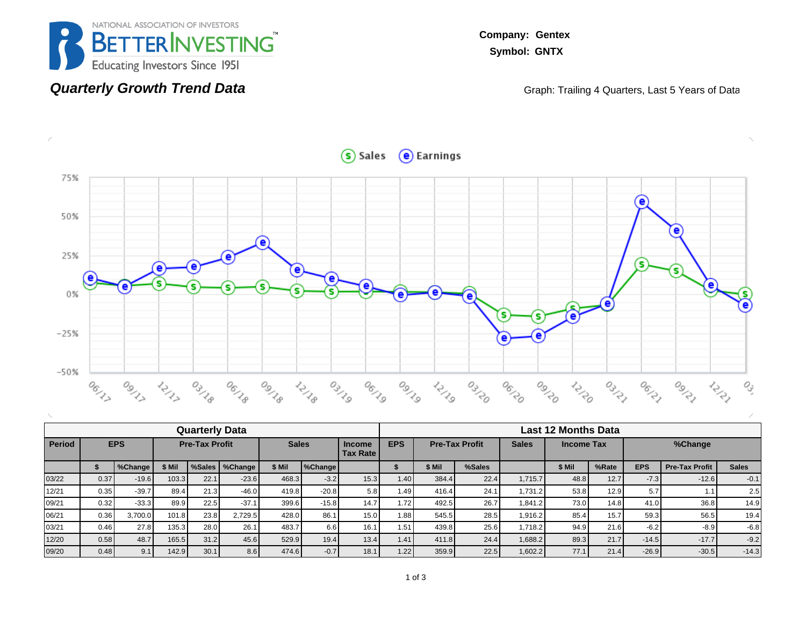

**Quarterly Growth Trend Data**

**Company: Gentex Symbol: GNTX**

Graph: Trailing 4 Quarters, Last 5 Years of Data



|               |      |            |                       | <b>Quarterly Data</b> |         |              |         |                                  | <b>Last 12 Months Data</b>                                               |        |        |         |        |       |            |                       |                  |  |  |
|---------------|------|------------|-----------------------|-----------------------|---------|--------------|---------|----------------------------------|--------------------------------------------------------------------------|--------|--------|---------|--------|-------|------------|-----------------------|------------------|--|--|
| <b>Period</b> |      | <b>EPS</b> | <b>Pre-Tax Profit</b> |                       |         | <b>Sales</b> |         | <b>Income</b><br><b>Tax Rate</b> | <b>EPS</b><br><b>Sales</b><br><b>Pre-Tax Profit</b><br><b>Income Tax</b> |        |        |         |        |       | %Change    |                       |                  |  |  |
|               |      | %Change    | \$ Mil                | %Sales                | %Change | \$ Mil       | %Change |                                  |                                                                          | \$ Mil | %Sales |         | \$ Mil | %Rate | <b>EPS</b> | <b>Pre-Tax Profit</b> | <b>Sales</b>     |  |  |
| 03/22         | 0.37 | $-19.6$    | 103.3                 | 22.1                  | $-23.6$ | 468.3        | $-3.2$  | 15.3                             | 1.40                                                                     | 384.4  | 22.4   | 1.715.7 | 48.8   | 12.7  | $-7.3$     | $-12.6$               | $-0.1$           |  |  |
| 12/21         | 0.35 | $-39.7$    | 89.4                  | 21.3                  | $-46.0$ | 419.8        | $-20.8$ | 5.8                              | 1.49                                                                     | 416.4  | 24.1   | 1.731.2 | 53.8   | 12.9  | 5.7        | 1.1                   | 2.5 <sub>1</sub> |  |  |
| 09/21         | 0.32 | $-33.3$    | 89.9                  | 22.5                  | $-37.1$ | 399.6        | $-15.8$ | 14.7                             | 1.72                                                                     | 492.5  | 26.7   | 1.841.2 | 73.0   | 14.8  | 41.0       | 36.8                  | 14.9             |  |  |
| 06/21         | 0.36 | 3.700.0    | 101.8                 | 23.8                  | 2,729.5 | 428.0        | 86.1    | 15.0                             | 1.88                                                                     | 545.5  | 28.5   | 1.916.2 | 85.4   | 15.7  | 59.3       | 56.5                  | 19.4             |  |  |
| 03/21         | 0.46 | 27.8       | 135.3                 | 28.0                  | 26.1    | 483.7        | 6.6     | 16.1                             | 1.51                                                                     | 439.8  | 25.6   | 1.718.2 | 94.9   | 21.6  | $-6.2$     | $-8.9$                | $-6.8$           |  |  |
| 12/20         | 0.58 | 48.7       | 165.5                 | 31.2                  | 45.6    | 529.9        | 19.4    | 13.4                             | 1.41                                                                     | 411.8  | 24.4   | 1,688.2 | 89.3   | 21.7  | $-14.5$    | $-17.7$               | $-9.2$           |  |  |
| 09/20         | 0.48 | 9.1        | 142.9                 | 30.1                  | 8.6     | 474.6        | $-0.7$  | 18.1                             | 1.22                                                                     | 359.9  | 22.5   | 1.602.2 | 77.1   | 21.4  | $-26.9$    | $-30.5$               | $-14.3$          |  |  |

Sales e Earnings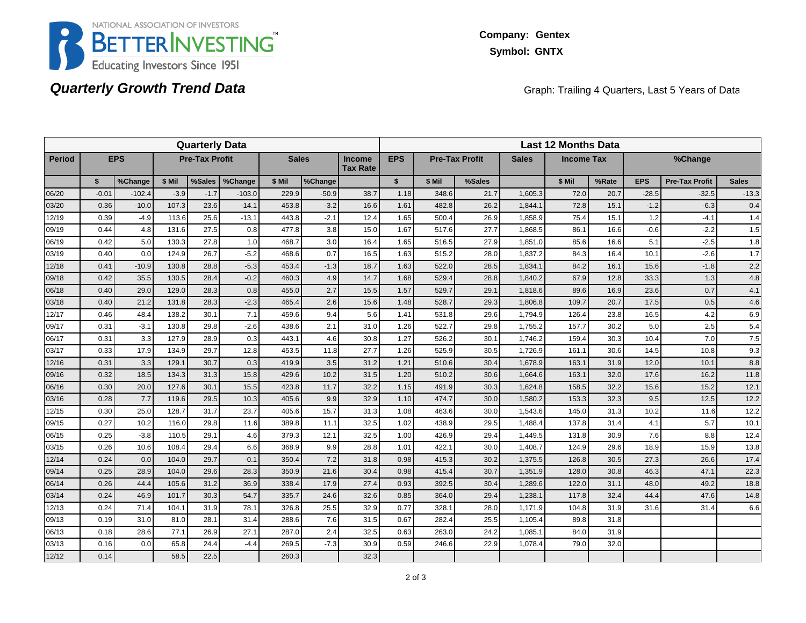

### **Quarterly Growth Trend Data**

Graph: Trailing 4 Quarters, Last 5 Years of Data

|               | <b>Quarterly Data</b> |            |        |                       |          |              |         |                                  |                                     |        | <b>Last 12 Months Data</b> |              |                   |       |            |                       |              |  |  |  |
|---------------|-----------------------|------------|--------|-----------------------|----------|--------------|---------|----------------------------------|-------------------------------------|--------|----------------------------|--------------|-------------------|-------|------------|-----------------------|--------------|--|--|--|
| <b>Period</b> |                       | <b>EPS</b> |        | <b>Pre-Tax Profit</b> |          | <b>Sales</b> |         | <b>Income</b><br><b>Tax Rate</b> | <b>EPS</b><br><b>Pre-Tax Profit</b> |        |                            | <b>Sales</b> | <b>Income Tax</b> |       |            | %Change               |              |  |  |  |
|               | \$                    | %Change    | \$ Mil | %Sales                | %Change  | \$ Mil       | %Change |                                  | $\mathbf{s}$                        | \$ Mil | %Sales                     |              | \$ Mil            | %Rate | <b>EPS</b> | <b>Pre-Tax Profit</b> | <b>Sales</b> |  |  |  |
| 06/20         | $-0.01$               | $-102.4$   | $-3.9$ | $-1.7$                | $-103.0$ | 229.9        | $-50.9$ | 38.7                             | 1.18                                | 348.6  | 21.7                       | 1,605.3      | 72.0              | 20.7  | $-28.5$    | $-32.5$               | $-13.3$      |  |  |  |
| 03/20         | 0.36                  | $-10.0$    | 107.3  | 23.6                  | $-14.1$  | 453.8        | $-3.2$  | 16.6                             | 1.61                                | 482.8  | 26.2                       | 1.844.1      | 72.8              | 15.1  | $-1.2$     | $-6.3$                | 0.4          |  |  |  |
| 12/19         | 0.39                  | $-4.9$     | 113.6  | 25.6                  | $-13.1$  | 443.8        | $-2.1$  | 12.4                             | 1.65                                | 500.4  | 26.9                       | 1,858.9      | 75.4              | 15.1  | 1.2        | $-4.1$                | 1.4          |  |  |  |
| 09/19         | 0.44                  | 4.8        | 131.6  | 27.5                  | 0.8      | 477.8        | 3.8     | 15.0                             | 1.67                                | 517.6  | 27.7                       | 1,868.5      | 86.1              | 16.6  | $-0.6$     | $-2.2$                | 1.5          |  |  |  |
| 06/19         | 0.42                  | 5.0        | 130.3  | 27.8                  | 1.0      | 468.7        | 3.0     | 16.4                             | 1.65                                | 516.5  | 27.9                       | 1,851.0      | 85.6              | 16.6  | 5.1        | $-2.5$                | 1.8          |  |  |  |
| 03/19         | 0.40                  | 0.0        | 124.9  | 26.7                  | $-5.2$   | 468.6        | 0.7     | 16.5                             | 1.63                                | 515.2  | 28.0                       | 1,837.2      | 84.3              | 16.4  | 10.1       | $-2.6$                | 1.7          |  |  |  |
| 12/18         | 0.41                  | $-10.9$    | 130.8  | 28.8                  | $-5.3$   | 453.4        | $-1.3$  | 18.7                             | 1.63                                | 522.0  | 28.5                       | 1,834.1      | 84.2              | 16.1  | 15.6       | $-1.8$                | 2.2          |  |  |  |
| 09/18         | 0.42                  | 35.5       | 130.5  | 28.4                  | $-0.2$   | 460.3        | 4.9     | 14.7                             | 1.68                                | 529.4  | 28.8                       | 1,840.2      | 67.9              | 12.8  | 33.3       | 1.3                   | 4.8          |  |  |  |
| 06/18         | 0.40                  | 29.0       | 129.0  | 28.3                  | 0.8      | 455.0        | 2.7     | 15.5                             | 1.57                                | 529.7  | 29.1                       | 1,818.6      | 89.6              | 16.9  | 23.6       | 0.7                   | 4.1          |  |  |  |
| 03/18         | 0.40                  | 21.2       | 131.8  | 28.3                  | $-2.3$   | 465.4        | 2.6     | 15.6                             | 1.48                                | 528.7  | 29.3                       | 1,806.8      | 109.7             | 20.7  | 17.5       | 0.5                   | 4.6          |  |  |  |
| 12/17         | 0.46                  | 48.4       | 138.2  | 30.1                  | 7.1      | 459.6        | 9.4     | 5.6                              | 1.41                                | 531.8  | 29.6                       | 1,794.9      | 126.4             | 23.8  | 16.5       | 4.2                   | 6.9          |  |  |  |
| 09/17         | 0.31                  | $-3.1$     | 130.8  | 29.8                  | $-2.6$   | 438.6        | 2.1     | 31.0                             | 1.26                                | 522.7  | 29.8                       | 1,755.2      | 157.7             | 30.2  | 5.0        | 2.5                   | 5.4          |  |  |  |
| 06/17         | 0.31                  | 3.3        | 127.9  | 28.9                  | 0.3      | 443.1        | 4.6     | 30.8                             | 1.27                                | 526.2  | 30.1                       | 1,746.2      | 159.4             | 30.3  | 10.4       | 7.0                   | 7.5          |  |  |  |
| 03/17         | 0.33                  | 17.9       | 134.9  | 29.7                  | 12.8     | 453.5        | 11.8    | 27.7                             | 1.26                                | 525.9  | 30.5                       | 1,726.9      | 161.1             | 30.6  | 14.5       | 10.8                  | 9.3          |  |  |  |
| 12/16         | 0.31                  | 3.3        | 129.1  | 30.7                  | 0.3      | 419.9        | 3.5     | 31.2                             | 1.21                                | 510.6  | 30.4                       | 1,678.9      | 163.1             | 31.9  | 12.0       | 10.1                  | 8.8          |  |  |  |
| 09/16         | 0.32                  | 18.5       | 134.3  | 31.3                  | 15.8     | 429.6        | 10.2    | 31.5                             | 1.20                                | 510.2  | 30.6                       | 1,664.6      | 163.1             | 32.0  | 17.6       | 16.2                  | 11.8         |  |  |  |
| 06/16         | 0.30                  | 20.0       | 127.6  | 30.1                  | 15.5     | 423.8        | 11.7    | 32.2                             | 1.15                                | 491.9  | 30.3                       | 1,624.8      | 158.5             | 32.2  | 15.6       | 15.2                  | 12.1         |  |  |  |
| 03/16         | 0.28                  | 7.7        | 119.6  | 29.5                  | 10.3     | 405.6        | 9.9     | 32.9                             | 1.10                                | 474.7  | 30.0                       | 1,580.2      | 153.3             | 32.3  | 9.5        | 12.5                  | 12.2         |  |  |  |
| 12/15         | 0.30                  | 25.0       | 128.7  | 31.7                  | 23.7     | 405.6        | 15.7    | 31.3                             | 1.08                                | 463.6  | 30.0                       | 1,543.6      | 145.0             | 31.3  | 10.2       | 11.6                  | 12.2         |  |  |  |
| 09/15         | 0.27                  | 10.2       | 116.0  | 29.8                  | 11.6     | 389.8        | 11.1    | 32.5                             | 1.02                                | 438.9  | 29.5                       | 1,488.4      | 137.8             | 31.4  | 4.1        | 5.7                   | 10.1         |  |  |  |
| 06/15         | 0.25                  | $-3.8$     | 110.5  | 29.1                  | 4.6      | 379.3        | 12.1    | 32.5                             | 1.00                                | 426.9  | 29.4                       | 1,449.5      | 131.8             | 30.9  | 7.6        | 8.8                   | 12.4         |  |  |  |
| 03/15         | 0.26                  | 10.6       | 108.4  | 29.4                  | 6.6      | 368.9        | 9.9     | 28.8                             | 1.01                                | 422.1  | 30.0                       | 1,408.7      | 124.9             | 29.6  | 18.9       | 15.9                  | 13.8         |  |  |  |
| 12/14         | 0.24                  | 0.0        | 104.0  | 29.7                  | $-0.1$   | 350.4        | 7.2     | 31.8                             | 0.98                                | 415.3  | 30.2                       | 1,375.5      | 126.8             | 30.5  | 27.3       | 26.6                  | 17.4         |  |  |  |
| 09/14         | 0.25                  | 28.9       | 104.0  | 29.6                  | 28.3     | 350.9        | 21.6    | 30.4                             | 0.98                                | 415.4  | 30.7                       | 1,351.9      | 128.0             | 30.8  | 46.3       | 47.1                  | 22.3         |  |  |  |
| 06/14         | 0.26                  | 44.4       | 105.6  | 31.2                  | 36.9     | 338.4        | 17.9    | 27.4                             | 0.93                                | 392.5  | 30.4                       | 1,289.6      | 122.0             | 31.1  | 48.0       | 49.2                  | 18.8         |  |  |  |
| 03/14         | 0.24                  | 46.9       | 101.7  | 30.3                  | 54.7     | 335.7        | 24.6    | 32.6                             | 0.85                                | 364.0  | 29.4                       | 1,238.1      | 117.8             | 32.4  | 44.4       | 47.6                  | 14.8         |  |  |  |
| 12/13         | 0.24                  | 71.4       | 104.1  | 31.9                  | 78.1     | 326.8        | 25.5    | 32.9                             | 0.77                                | 328.1  | 28.0                       | 1,171.9      | 104.8             | 31.9  | 31.6       | 31.4                  | 6.6          |  |  |  |
| 09/13         | 0.19                  | 31.0       | 81.0   | 28.1                  | 31.4     | 288.6        | 7.6     | 31.5                             | 0.67                                | 282.4  | 25.5                       | 1,105.4      | 89.8              | 31.8  |            |                       |              |  |  |  |
| 06/13         | 0.18                  | 28.6       | 77.1   | 26.9                  | 27.1     | 287.0        | 2.4     | 32.5                             | 0.63                                | 263.0  | 24.2                       | 1,085.       | 84.0              | 31.9  |            |                       |              |  |  |  |
| 03/13         | 0.16                  | 0.0        | 65.8   | 24.4                  | -4.4     | 269.5        | $-7.3$  | 30.9                             | 0.59                                | 246.6  | 22.9                       | 1,078.4      | 79.0              | 32.0  |            |                       |              |  |  |  |
| 12/12         | 0.14                  |            | 58.5   | 22.5                  |          | 260.3        |         | 32.3                             |                                     |        |                            |              |                   |       |            |                       |              |  |  |  |